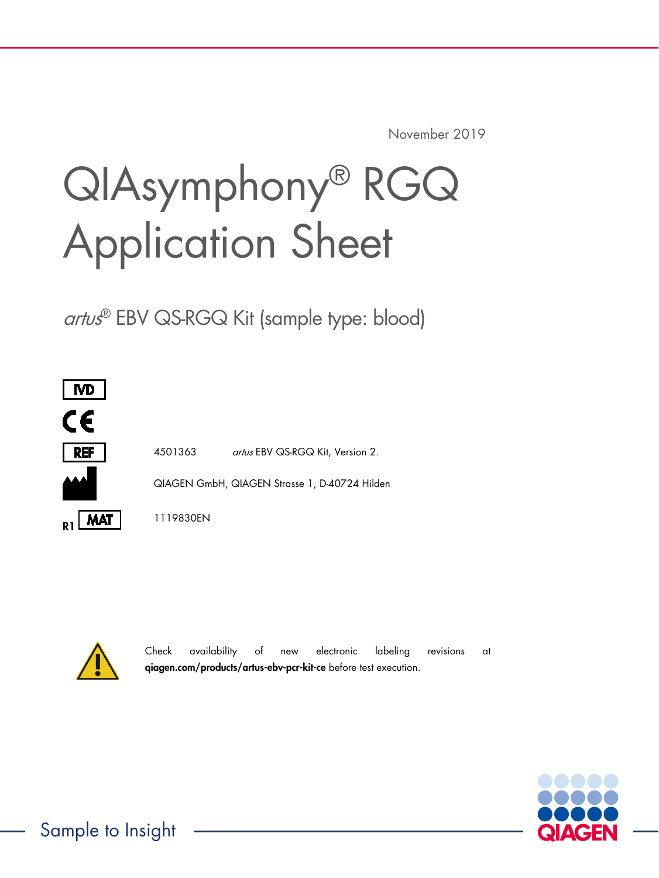November 2019

# QIAsymphony® RGQ Application Sheet

artus® EBV QS-RGQ Kit (sample type: blood)



4501363 artus EBV QS-RGQ Kit, Version 2. QIAGEN GmbH, QIAGEN Strasse 1, D-40724 Hilden



1119830EN

Check availability of new electronic labeling revisions at [qiagen.com/products/artus-ebv-pcr-kit-ce](https://www.qiagen.com/products/diagnostics-and-clinical-research/transplant/artus-viral-load/artus-ebv-pcr-kits-ce/?clear=true#orderinginformation) before test execution.

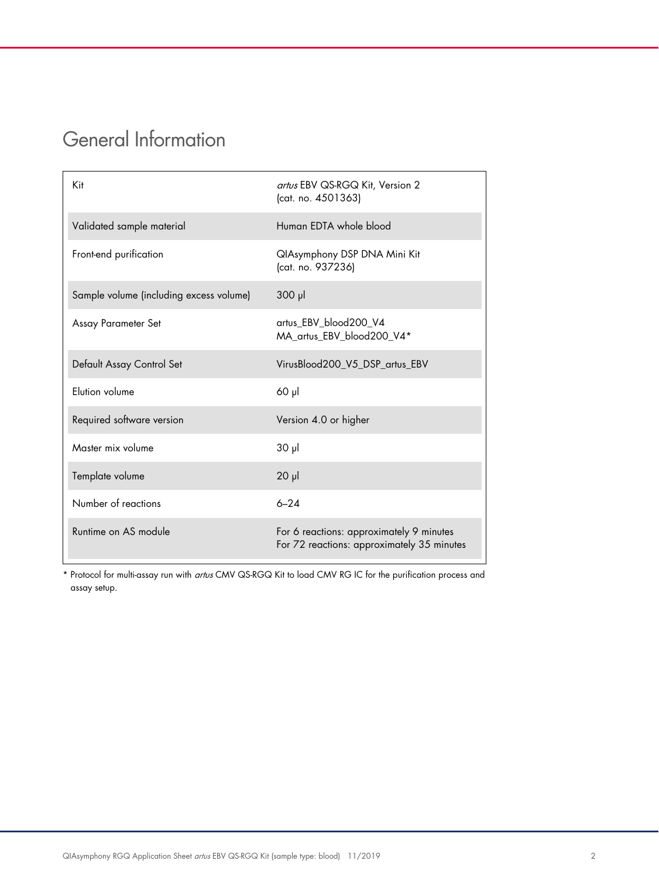# General Information

| Kit                                     | artus EBV QS-RGQ Kit, Version 2<br>(cat. no. 4501363)                                  |
|-----------------------------------------|----------------------------------------------------------------------------------------|
| Validated sample material               | Human EDTA whole blood                                                                 |
| Front-end purification                  | QlAsymphony DSP DNA Mini Kit<br>(cat. no. 937236)                                      |
| Sample volume (including excess volume) | $300$ $\mu$                                                                            |
| Assay Parameter Set                     | artus_EBV_blood200_V4<br>MA_artus_EBV_blood200_V4*                                     |
| Default Assay Control Set               | VirusBlood200_V5_DSP_artus_EBV                                                         |
| <b>Flution volume</b>                   | $60$ $\mu$                                                                             |
| Required software version               | Version 4.0 or higher                                                                  |
| Master mix volume                       | $30 \mu$                                                                               |
| Template volume                         | $20$ $\mu$                                                                             |
| Number of reactions                     | $6 - 24$                                                                               |
| Runtime on AS module                    | For 6 reactions: approximately 9 minutes<br>For 72 reactions: approximately 35 minutes |

\* Protocol for multi-assay run with artus CMV QS-RGQ Kit to load CMV RG IC for the purification process and assay setup.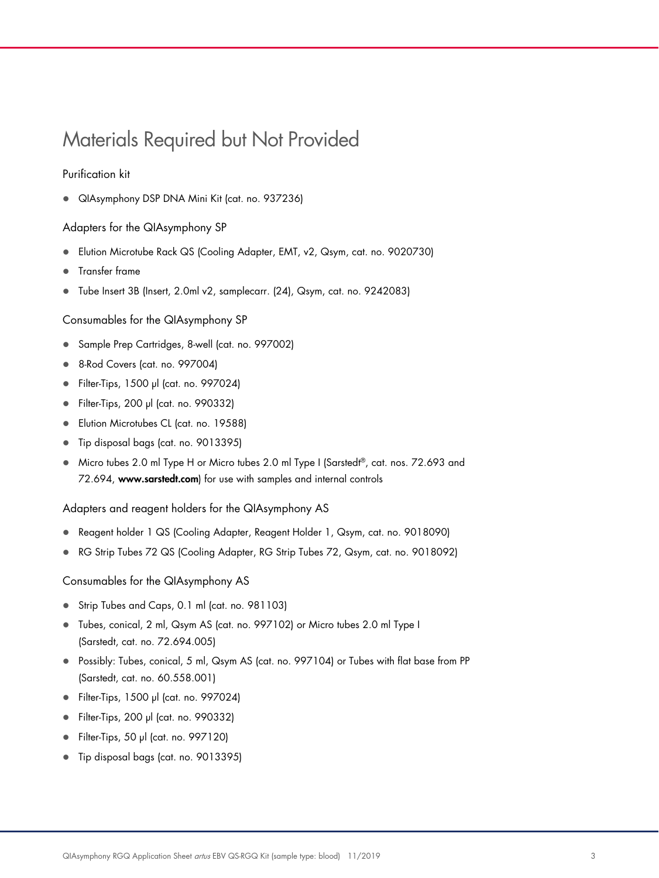# <span id="page-2-0"></span>Materials Required but Not Provided

## Purification kit

QIAsymphony DSP DNA Mini Kit (cat. no. 937236)

#### Adapters for the QIAsymphony SP

- Elution Microtube Rack QS (Cooling Adapter, EMT, v2, Qsym, cat. no. 9020730)
- **•** Transfer frame
- Tube Insert 3B (Insert, 2.0ml v2, samplecarr. (24), Qsym, cat. no. 9242083)

#### Consumables for the QIAsymphony SP

- Sample Prep Cartridges, 8-well (cat. no. 997002)
- 8-Rod Covers (cat. no. 997004)
- Filter-Tips, 1500 µl (cat. no. 997024)
- Filter-Tips, 200 µl (cat. no. 990332)
- **Elution Microtubes CL (cat. no. 19588)**
- Tip disposal bags (cat. no. 9013395)
- Micro tubes 2.0 ml Type H or Micro tubes 2.0 ml Type I (Sarstedt®, cat. nos. 72.693 and 72.694, www.sarstedt.com) for use with samples and internal controls

Adapters and reagent holders for the QIAsymphony AS

- Reagent holder 1 QS (Cooling Adapter, Reagent Holder 1, Qsym, cat. no. 9018090)
- RG Strip Tubes 72 QS (Cooling Adapter, RG Strip Tubes 72, Qsym, cat. no. 9018092)

Consumables for the QIAsymphony AS

- Strip Tubes and Caps, 0.1 ml (cat. no. 981103)
- Tubes, conical, 2 ml, Qsym AS (cat. no. 997102) or Micro tubes 2.0 ml Type I (Sarstedt, cat. no. 72.694.005)
- Possibly: Tubes, conical, 5 ml, Qsym AS (cat. no. 997104) or Tubes with flat base from PP (Sarstedt, cat. no. 60.558.001)
- Filter-Tips, 1500 µl (cat. no. 997024)
- Filter-Tips, 200 µl (cat. no. 990332)
- Filter-Tips, 50 µl (cat. no. 997120)
- Tip disposal bags (cat. no. 9013395)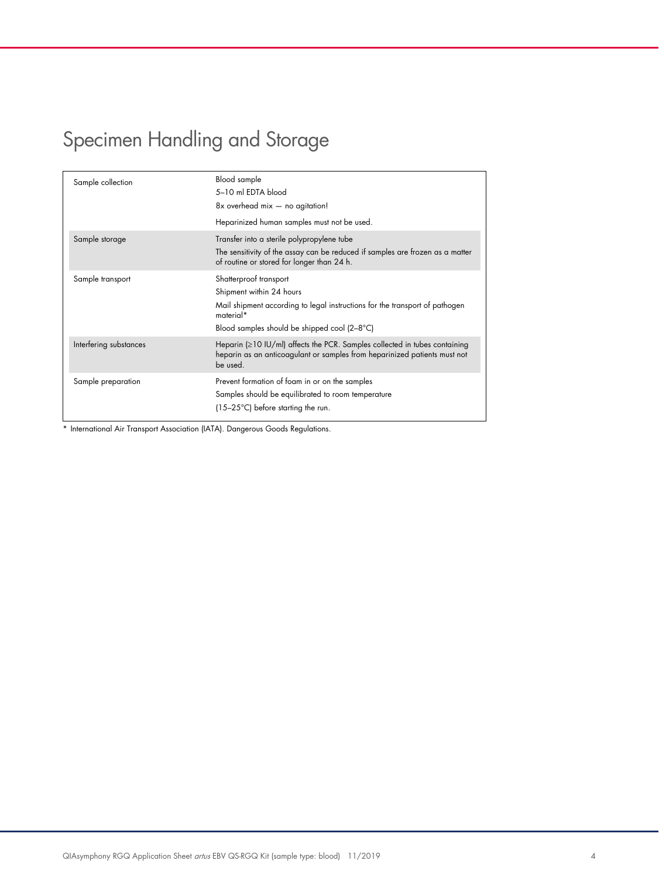# Specimen Handling and Storage

| Sample collection      | Blood sample<br>5-10 ml EDTA blood<br>$8x$ overhead mix $-$ no agitation!<br>Heparinized human samples must not be used.                                                                       |
|------------------------|------------------------------------------------------------------------------------------------------------------------------------------------------------------------------------------------|
| Sample storage         | Transfer into a sterile polypropylene tube<br>The sensitivity of the assay can be reduced if samples are frozen as a matter<br>of routine or stored for longer than 24 h.                      |
| Sample transport       | Shatterproof transport<br>Shipment within 24 hours<br>Mail shipment according to legal instructions for the transport of pathogen<br>material*<br>Blood samples should be shipped cool (2–8°C) |
| Interfering substances | Heparin $( \geq 10 \text{ IU/ml})$ affects the PCR. Samples collected in tubes containing<br>heparin as an anticoagulant or samples from heparinized patients must not<br>be used.             |
| Sample preparation     | Prevent formation of foam in or on the samples<br>Samples should be equilibrated to room temperature<br>$(15-25^{\circ}C)$ before starting the run.                                            |

\* International Air Transport Association (IATA). Dangerous Goods Regulations.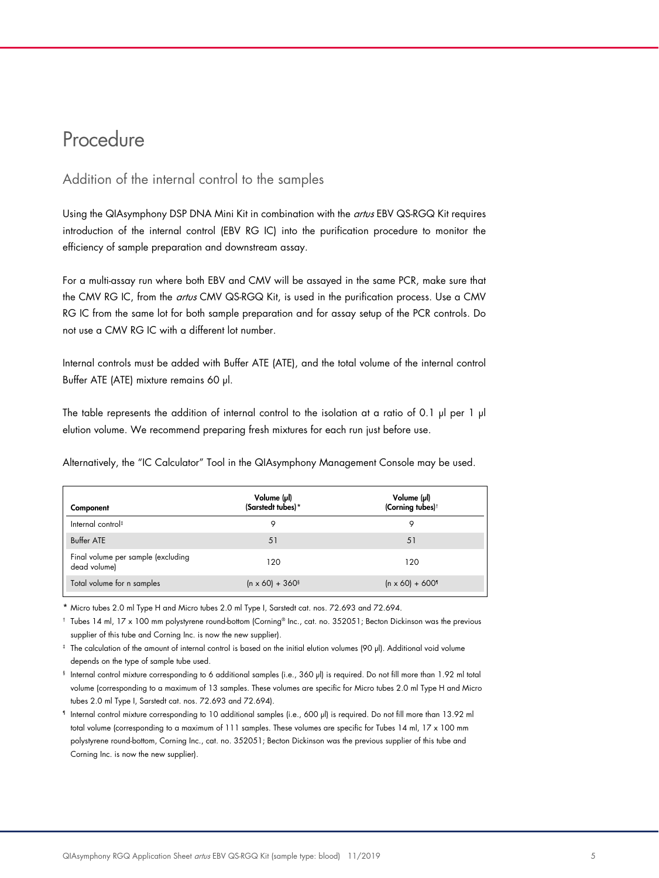# Procedure

## Addition of the internal control to the samples

Using the QIAsymphony DSP DNA Mini Kit in combination with the artus EBV QS-RGQ Kit requires introduction of the internal control (EBV RG IC) into the purification procedure to monitor the efficiency of sample preparation and downstream assay.

For a multi-assay run where both EBV and CMV will be assayed in the same PCR, make sure that the CMV RG IC, from the artus CMV QS-RGQ Kit, is used in the purification process. Use a CMV RG IC from the same lot for both sample preparation and for assay setup of the PCR controls. Do not use a CMV RG IC with a different lot number.

Internal controls must be added with Buffer ATE (ATE), and the total volume of the internal control Buffer ATE (ATE) mixture remains 60 µl.

The table represents the addition of internal control to the isolation at a ratio of 0.1 µl per 1 µl elution volume. We recommend preparing fresh mixtures for each run just before use.

Alternatively, the "IC Calculator" Tool in the QIAsymphony Management Console may be used.

| Component                                          | Volume (µl)<br>(Sarstedt tubes)*   | Volume (µl)<br>(Corning tubes) <sup>†</sup> |
|----------------------------------------------------|------------------------------------|---------------------------------------------|
| Internal control <sup>#</sup>                      | Q                                  |                                             |
| <b>Buffer ATE</b>                                  | 51                                 | 51                                          |
| Final volume per sample (excluding<br>dead volume) | 120                                | 120                                         |
| Total volume for n samples                         | $(n \times 60) + 360$ <sup>§</sup> | $(n \times 60) + 600$ <sup>1</sup>          |

\* Micro tubes 2.0 ml Type H and Micro tubes 2.0 ml Type I, Sarstedt cat. nos. 72.693 and 72.694.

† Tubes 14 ml, 17 x 100 mm polystyrene round-bottom (Corning® Inc., cat. no. 352051; Becton Dickinson was the previous supplier of this tube and Corning Inc. is now the new supplier).

‡ The calculation of the amount of internal control is based on the initial elution volumes (90 µl). Additional void volume depends on the type of sample tube used.

§ Internal control mixture corresponding to 6 additional samples (i.e., 360 µl) is required. Do not fill more than 1.92 ml total volume (corresponding to a maximum of 13 samples. These volumes are specific for Micro tubes 2.0 ml Type H and Micro tubes 2.0 ml Type I, Sarstedt cat. nos. 72.693 and 72.694).

¶ Internal control mixture corresponding to 10 additional samples (i.e., 600 µl) is required. Do not fill more than 13.92 ml total volume (corresponding to a maximum of 111 samples. These volumes are specific for Tubes 14 ml, 17 x 100 mm polystyrene round-bottom, Corning Inc., cat. no. 352051; Becton Dickinson was the previous supplier of this tube and Corning Inc. is now the new supplier).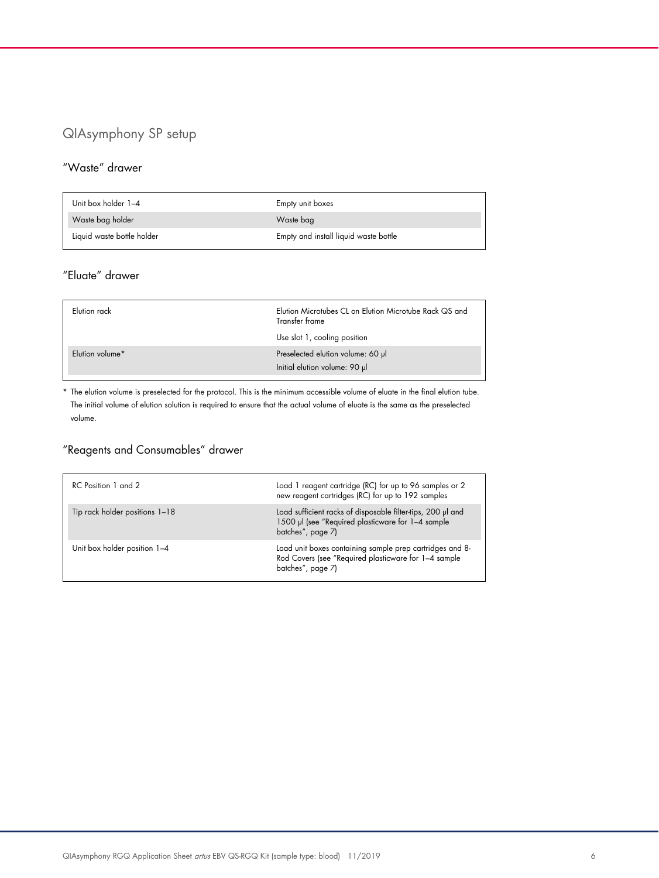# QIAsymphony SP setup

## "Waste" drawer

| Unit box holder 1-4        | Empty unit boxes                      |
|----------------------------|---------------------------------------|
| Waste bag holder           | Waste bag                             |
| Liquid waste bottle holder | Empty and install liquid waste bottle |

# "Eluate" drawer

| Elution rack    | Elution Microtubes CL on Elution Microtube Rack QS and<br>Transfer frame<br>Use slot 1, cooling position |
|-----------------|----------------------------------------------------------------------------------------------------------|
| Elution volume* | Preselected elution volume: 60 µl<br>Initial elution volume: 90 µl                                       |

\* The elution volume is preselected for the protocol. This is the minimum accessible volume of eluate in the final elution tube. The initial volume of elution solution is required to ensure that the actual volume of eluate is the same as the preselected volume.

# "Reagents and Consumables" drawer

| RC Position 1 and 2            | Load 1 reagent cartridge (RC) for up to 96 samples or 2<br>new reagent cartridges (RC) for up to 192 samples                          |
|--------------------------------|---------------------------------------------------------------------------------------------------------------------------------------|
| Tip rack holder positions 1-18 | Load sufficient racks of disposable filter-tips, 200 µl and<br>1500 µl (see "Required plasticware for 1-4 sample<br>batches", page 7) |
| Unit box holder position 1-4   | Load unit boxes containing sample prep cartridges and 8-<br>Rod Covers (see "Required plasticware for 1-4 sample<br>batches", page 7) |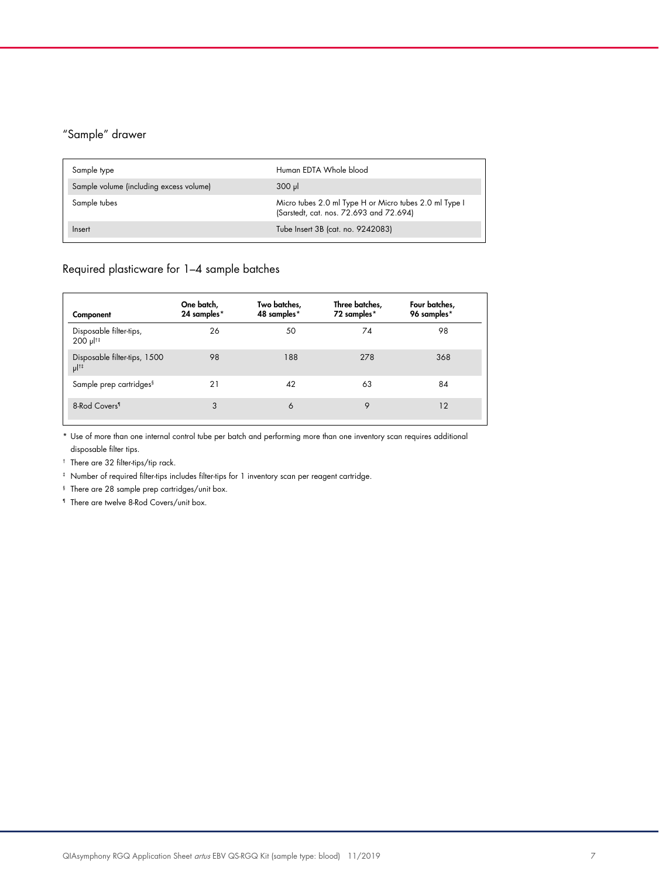# "Sample" drawer

| Sample type                             | Human EDTA Whole blood                                                                            |
|-----------------------------------------|---------------------------------------------------------------------------------------------------|
| Sample volume (including excess volume) | 300 ul                                                                                            |
| Sample tubes                            | Micro tubes 2.0 ml Type H or Micro tubes 2.0 ml Type I<br>(Sarstedt, cat. nos. 72.693 and 72.694) |
| Inseri                                  | Tube Insert 3B (cat. no. 9242083)                                                                 |

# <span id="page-6-0"></span>Required plasticware for 1–4 sample batches

| Component                                          | One batch,<br>24 samples* | Two batches,<br>48 samples* | Three batches,<br>72 samples* | Four batches,<br>96 samples* |
|----------------------------------------------------|---------------------------|-----------------------------|-------------------------------|------------------------------|
| Disposable filter-tips,<br>$200 \mu$ <sup>††</sup> | 26                        | 50                          | 74                            | 98                           |
| Disposable filter-tips, 1500<br>$\mu$  †‡          | 98                        | 188                         | 278                           | 368                          |
| Sample prep cartridges <sup>§</sup>                | 21                        | 42                          | 63                            | 84                           |
| 8-Rod Covers <sup>1</sup>                          | 3                         | 6                           | 9                             | 12                           |

\* Use of more than one internal control tube per batch and performing more than one inventory scan requires additional disposable filter tips.

† There are 32 filter-tips/tip rack.

‡ Number of required filter-tips includes filter-tips for 1 inventory scan per reagent cartridge.

§ There are 28 sample prep cartridges/unit box.

¶ There are twelve 8-Rod Covers/unit box.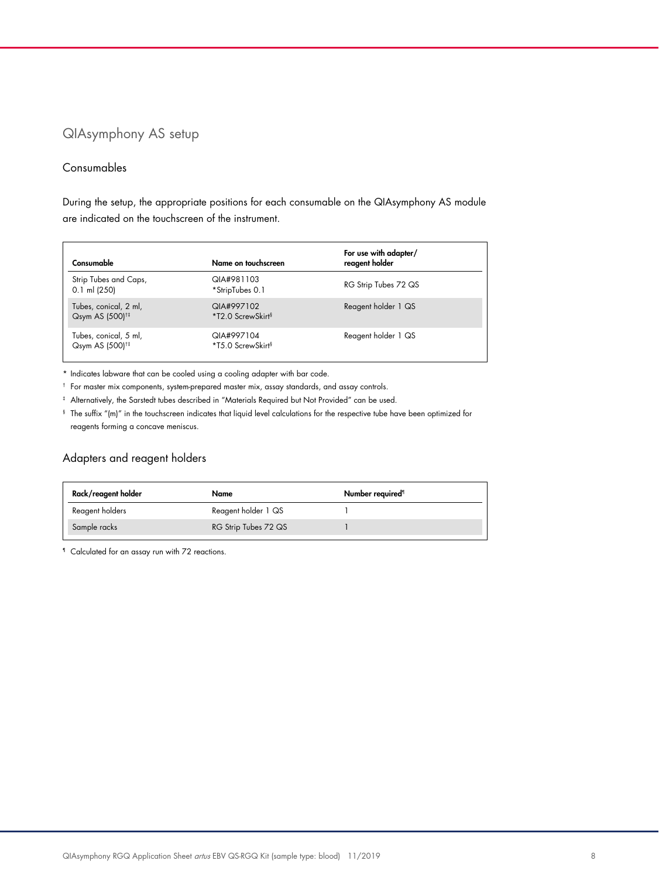# QIAsymphony AS setup

### Consumables

During the setup, the appropriate positions for each consumable on the QIAsymphony AS module are indicated on the touchscreen of the instrument.

| Consumable                                           | Name on touchscreen                         | For use with adapter/<br>reagent holder |
|------------------------------------------------------|---------------------------------------------|-----------------------------------------|
| Strip Tubes and Caps,<br>$0.1$ ml (250)              | QIA#981103<br>*StripTubes 0.1               | RG Strip Tubes 72 QS                    |
| Tubes, conical, 2 ml,<br>Qsym AS (500) <sup>1‡</sup> | QIA#997102<br>*T2.0 ScrewSkirt <sup>§</sup> | Reagent holder 1 QS                     |
| Tubes, conical, 5 ml,<br>Qsym AS (500) <sup>1‡</sup> | QIA#997104<br>*T5.0 ScrewSkirt <sup>§</sup> | Reagent holder 1 QS                     |

\* Indicates labware that can be cooled using a cooling adapter with bar code.

† For master mix components, system-prepared master mix, assay standards, and assay controls.

‡ Alternatively, the Sarstedt tubes described in ["Materials Required but Not Provided"](#page-2-0) can be used.

§ The suffix "(m)" in the touchscreen indicates that liquid level calculations for the respective tube have been optimized for reagents forming a concave meniscus.

## Adapters and reagent holders

| Rack/reagent holder | Name                 | Number required <sup>1</sup> |
|---------------------|----------------------|------------------------------|
| Reagent holders     | Reagent holder 1 QS  |                              |
| Sample racks        | RG Strip Tubes 72 QS |                              |

¶ Calculated for an assay run with 72 reactions.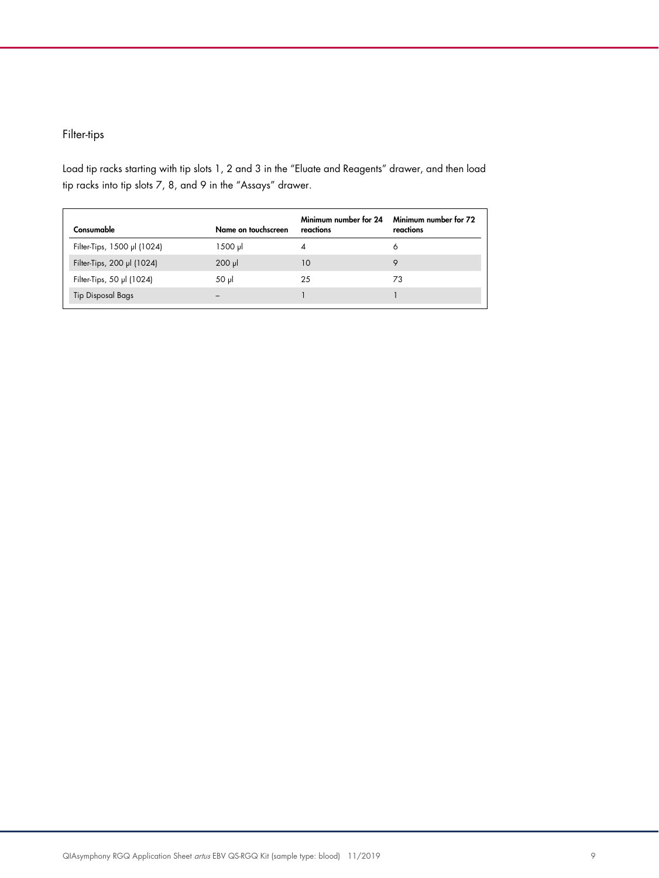# Filter-tips

Load tip racks starting with tip slots 1, 2 and 3 in the "Eluate and Reagents" drawer, and then load tip racks into tip slots 7, 8, and 9 in the "Assays" drawer.

| Consumable                  | Name on touchscreen | Minimum number for 24<br>reactions | Minimum number for 72<br>reactions |
|-----------------------------|---------------------|------------------------------------|------------------------------------|
| Filter-Tips, 1500 µl (1024) | 1500 µl             | 4                                  | Ô                                  |
| Filter-Tips, 200 µl (1024)  | $200$ $\mu$         | 10                                 | 9                                  |
| Filter-Tips, 50 µl (1024)   | $50 \mu$            | 25                                 | 73                                 |
| <b>Tip Disposal Bags</b>    |                     |                                    |                                    |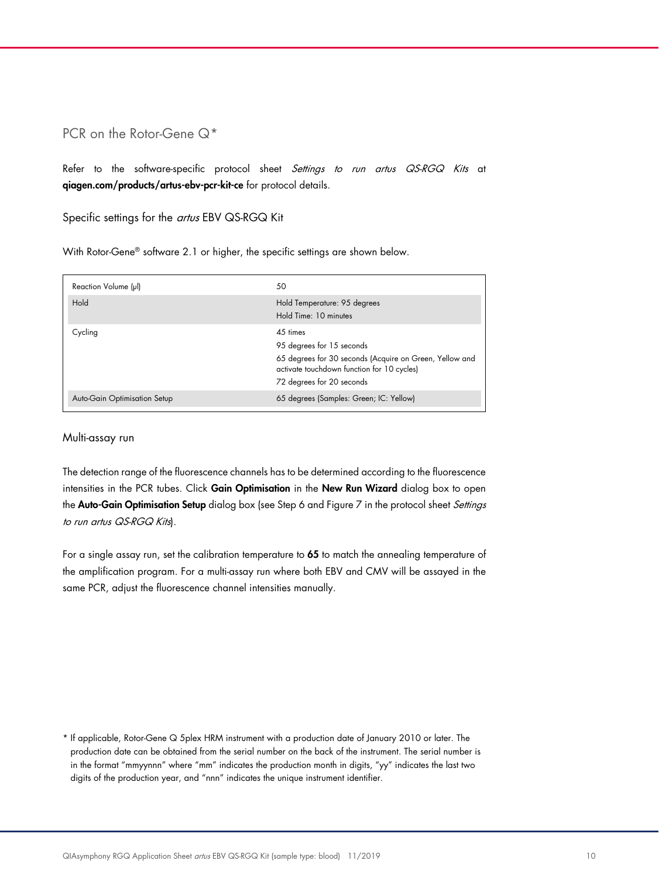## PCR on the Rotor-Gene Q<sup>[\\*](#page-9-0)</sup>

Refer to the software-specific protocol sheet Settings to run artus QS-RGQ Kits at [qiagen.com/products/artus-ebv-pcr-kit-ce](https://www.qiagen.com/products/diagnostics-and-clinical-research/transplant/artus-viral-load/artus-ebv-pcr-kits-ce/?clear=true#orderinginformation) for protocol details.

Specific settings for the artus EBV QS-RGQ Kit

With Rotor-Gene® software 2.1 or higher, the specific settings are shown below.

| Reaction Volume (µl)         | 50                                                                                                                                             |
|------------------------------|------------------------------------------------------------------------------------------------------------------------------------------------|
| Hold                         | Hold Temperature: 95 degrees<br>Hold Time: 10 minutes                                                                                          |
| Cycling                      | 45 times<br>95 degrees for 15 seconds<br>65 degrees for 30 seconds (Acquire on Green, Yellow and<br>activate touchdown function for 10 cycles) |
|                              | 72 degrees for 20 seconds                                                                                                                      |
| Auto-Gain Optimisation Setup | 65 degrees (Samples: Green; IC: Yellow)                                                                                                        |

#### Multi-assay run

The detection range of the fluorescence channels has to be determined according to the fluorescence intensities in the PCR tubes. Click Gain Optimisation in the New Run Wizard dialog box to open the Auto-Gain Optimisation Setup dialog box (see Step 6 and Figure 7 in the protocol sheet Settings to run artus QS-RGQ Kits).

For a single assay run, set the calibration temperature to 65 to match the annealing temperature of the amplification program. For a multi-assay run where both EBV and CMV will be assayed in the same PCR, adjust the fluorescence channel intensities manually.

<span id="page-9-0"></span>\* If applicable, Rotor-Gene Q 5plex HRM instrument with a production date of January 2010 or later. The production date can be obtained from the serial number on the back of the instrument. The serial number is in the format "mmyynnn" where "mm" indicates the production month in digits, "yy" indicates the last two digits of the production year, and "nnn" indicates the unique instrument identifier.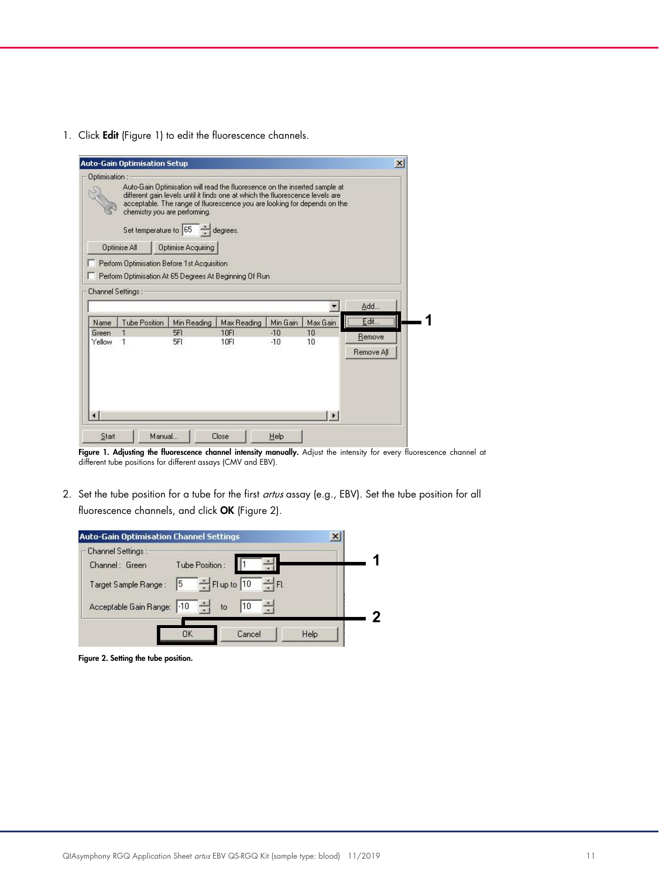1. Click Edit (Figure 1) to edit the fluorescence channels.

|                 | <b>Auto-Gain Optimisation Setup</b>                                                                 |                                                                                     |                                                                                                                                                                                                                                         |                |          | $\vert x \vert$      |
|-----------------|-----------------------------------------------------------------------------------------------------|-------------------------------------------------------------------------------------|-----------------------------------------------------------------------------------------------------------------------------------------------------------------------------------------------------------------------------------------|----------------|----------|----------------------|
| Optimisation:   | chemistry you are performing.<br><b>Optimise All</b><br>Perform Optimisation Before 1st Acquisition | Set temperature to $\boxed{65}$ $\rightarrow$ degrees.<br><b>Optimise Acquiring</b> | Auto-Gain Optimisation will read the fluoresence on the inserted sample at<br>different gain levels until it finds one at which the fluorescence levels are<br>acceptable. The range of fluorescence you are looking for depends on the |                |          |                      |
| Name            | Perform Optimisation At 65 Degrees At Beginning Of Run.<br>Channel Settings:<br>Tube Position       | Min Reading                                                                         | Max Reading                                                                                                                                                                                                                             | Min Gain       | Max Gain | Add<br>Edit          |
| Green<br>Yellow | 1                                                                                                   | 5FI<br>5FI                                                                          | <b>10FI</b><br>10FI                                                                                                                                                                                                                     | $-10$<br>$-10$ | 10<br>10 | Remove<br>Remove All |
|                 |                                                                                                     |                                                                                     |                                                                                                                                                                                                                                         |                |          |                      |

Figure 1. Adjusting the fluorescence channel intensity manually. Adjust the intensity for every fluorescence channel at different tube positions for different assays (CMV and EBV).

2. Set the tube position for a tube for the first *artus* assay (e.g., EBV). Set the tube position for all fluorescence channels, and click OK (Figure 2).



Figure 2. Setting the tube position.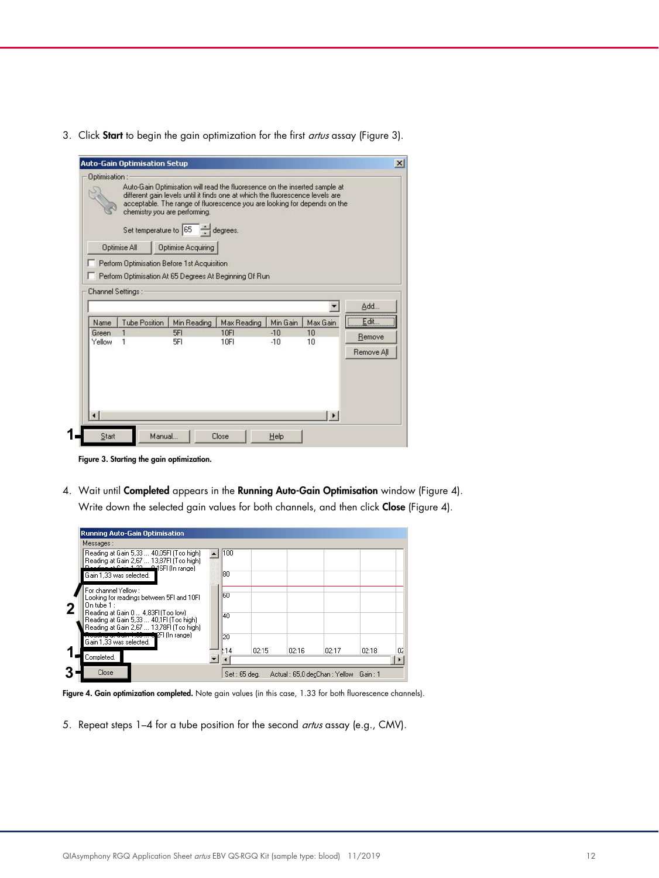3. Click Start to begin the gain optimization for the first artus assay (Figure 3).

|                        |                                                         | Auto-Gain Optimisation Setup                           |                                                                                                                                                                                                                                         |          |                |            |
|------------------------|---------------------------------------------------------|--------------------------------------------------------|-----------------------------------------------------------------------------------------------------------------------------------------------------------------------------------------------------------------------------------------|----------|----------------|------------|
| Optimisation:          |                                                         |                                                        |                                                                                                                                                                                                                                         |          |                |            |
|                        | chemistry you are performing.                           |                                                        | Auto-Gain Optimisation will read the fluoresence on the inserted sample at<br>different gain levels until it finds one at which the fluorescence levels are<br>acceptable. The range of fluorescence you are looking for depends on the |          |                |            |
|                        |                                                         | Set temperature to $\boxed{65}$ $\rightarrow$ degrees. |                                                                                                                                                                                                                                         |          |                |            |
|                        | <b>Optimise All</b>                                     | <b>Optimise Acquiring</b>                              |                                                                                                                                                                                                                                         |          |                |            |
|                        |                                                         |                                                        |                                                                                                                                                                                                                                         |          |                |            |
|                        | Perform Optimisation Before 1st Acquisition             |                                                        |                                                                                                                                                                                                                                         |          |                |            |
|                        | Perform Optimisation At 65 Degrees At Beginning Of Run. |                                                        |                                                                                                                                                                                                                                         |          |                |            |
|                        |                                                         |                                                        |                                                                                                                                                                                                                                         |          |                |            |
|                        | Channel Settings:                                       |                                                        |                                                                                                                                                                                                                                         |          |                |            |
|                        |                                                         |                                                        |                                                                                                                                                                                                                                         |          |                | Add        |
|                        |                                                         |                                                        |                                                                                                                                                                                                                                         |          |                |            |
| Name                   | <b>Tube Position</b>                                    | Min Reading                                            | Max Reading                                                                                                                                                                                                                             | Min Gain | Max Gain       |            |
| Green                  | 1                                                       | 5FI                                                    | 10FI                                                                                                                                                                                                                                    | $-10$    | 10             | Edit       |
| Yellow                 | 1                                                       | 5FI                                                    | 10FI                                                                                                                                                                                                                                    | $-10$    | 10             | Remove     |
|                        |                                                         |                                                        |                                                                                                                                                                                                                                         |          |                | Remove All |
|                        |                                                         |                                                        |                                                                                                                                                                                                                                         |          |                |            |
|                        |                                                         |                                                        |                                                                                                                                                                                                                                         |          |                |            |
|                        |                                                         |                                                        |                                                                                                                                                                                                                                         |          |                |            |
|                        |                                                         |                                                        |                                                                                                                                                                                                                                         |          |                |            |
|                        |                                                         |                                                        |                                                                                                                                                                                                                                         |          |                |            |
| $\left  \cdot \right $ |                                                         |                                                        |                                                                                                                                                                                                                                         |          | $\blacksquare$ |            |
| Start                  | Manual                                                  |                                                        | Close                                                                                                                                                                                                                                   | Help     |                |            |

Figure 3. Starting the gain optimization.

4. Wait until Completed appears in the Running Auto-Gain Optimisation window (Figure 4). Write down the selected gain values for both channels, and then click Close (Figure 4).

| <b>Running Auto-Gain Optimisation</b>                                                                                           |              |       |       |                                      |       |    |
|---------------------------------------------------------------------------------------------------------------------------------|--------------|-------|-------|--------------------------------------|-------|----|
| Messages:                                                                                                                       |              |       |       |                                      |       |    |
| Reading at Gain 5.33  40.05FI (Too high)<br>Reading at Gain 2.67  13.87FI (Too high)<br>Poeding at Gain 1.22 P. 16FI (In range) | 100          |       |       |                                      |       |    |
| Gain 1,33 was selected.                                                                                                         | l8N          |       |       |                                      |       |    |
| For channel Yellow:<br>Looking for readings between 5FI and 10FI<br>On tube $1$ :                                               | l60          |       |       |                                      |       |    |
| Reading at Gain 0  4,83FI (Too low)<br>Reading at Gain 5,33  40,1FI (Too high)<br>Reading at Gain 2,67  13,78FI (Too high)      | 40           |       |       |                                      |       |    |
| rding at Gain 1,00 m. O.P.I (In range)<br>Gain 1,33 was selected.                                                               | 20           |       |       |                                      |       |    |
| Completed.                                                                                                                      | :14          | 02:15 | 02:16 | 02:17                                | 02:18 | 02 |
| Close                                                                                                                           | Set: 65 deg. |       |       | Actual: 65,0 decChan: Yellow Gain: 1 |       |    |

Figure 4. Gain optimization completed. Note gain values (in this case, 1.33 for both fluorescence channels).

5. Repeat steps 1-4 for a tube position for the second artus assay (e.g., CMV).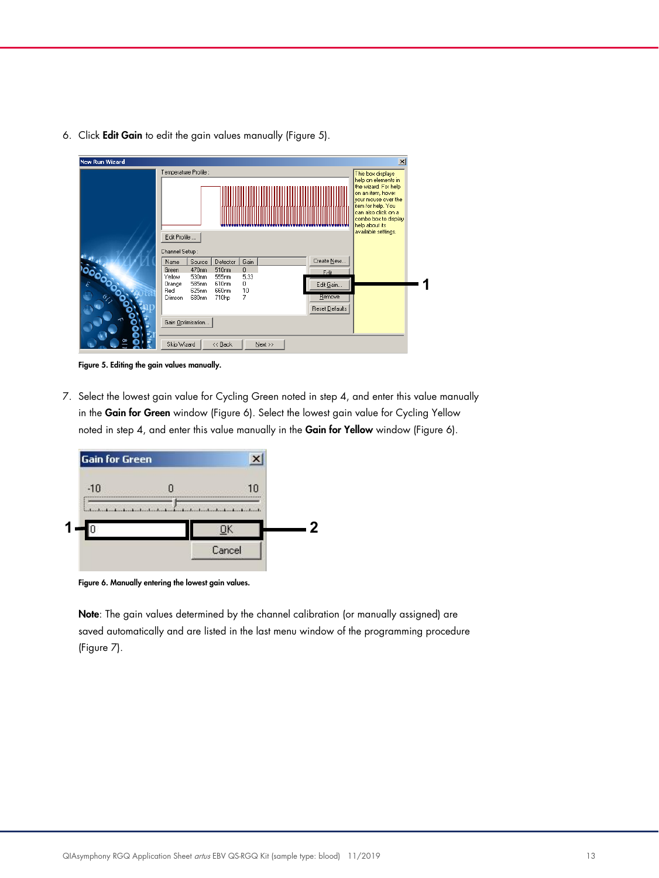6. Click Edit Gain to edit the gain values manually (Figure 5).

| <b>New Run Wizard</b> |                                   |                                                                                                                                                                                | $\vert x \vert$     |
|-----------------------|-----------------------------------|--------------------------------------------------------------------------------------------------------------------------------------------------------------------------------|---------------------|
|                       | Temperature Profile :             |                                                                                                                                                                                | This box displays   |
|                       |                                   | help on elements in<br>the wizard. For help<br>on an item, hover<br>your mouse over the<br>item for help. You<br>can also click on a<br>combo box to display<br>help about its |                     |
|                       | Edit Profile<br>Channel Setup:    |                                                                                                                                                                                | available settings. |
|                       | Source<br>Name                    | Create New<br>Gain<br>Detector                                                                                                                                                 |                     |
|                       | Green<br>470nm<br>Yellow<br>530nm | $\mathbf{0}$<br>510nm<br>E dit.<br>5,33<br>555nm                                                                                                                               |                     |
| 0000000               | 585nm<br>Orange<br>625nm<br>Red   | 610nm<br>0<br>Edit Gain<br>10<br>660nm                                                                                                                                         |                     |
|                       | 680nm<br>Crimson                  | <b>Hemove</b><br>7<br>710hp<br>Reset Defaults                                                                                                                                  |                     |
|                       | Gain Optimisation                 |                                                                                                                                                                                |                     |
|                       | Skip Wizard                       | << Back<br>Next >>                                                                                                                                                             |                     |

Figure 5. Editing the gain values manually.

7. Select the lowest gain value for Cycling Green noted in step 4, and enter this value manually in the Gain for Green window (Figure 6). Select the lowest gain value for Cycling Yellow noted in step 4, and enter this value manually in the Gain for Yellow window (Figure 6).



Figure 6. Manually entering the lowest gain values.

Note: The gain values determined by the channel calibration (or manually assigned) are saved automatically and are listed in the last menu window of the programming procedure (Figure 7).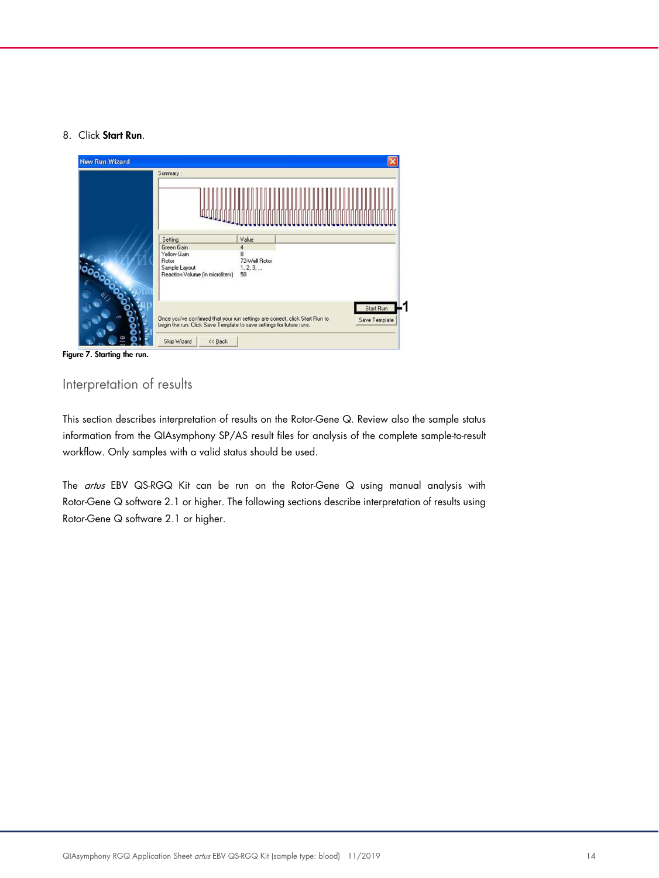#### 8. Click Start Run.



Figure 7. Starting the run.

# Interpretation of results

This section describes interpretation of results on the Rotor-Gene Q. Review also the sample status information from the QIAsymphony SP/AS result files for analysis of the complete sample-to-result workflow. Only samples with a valid status should be used.

The artus EBV QS-RGQ Kit can be run on the Rotor-Gene Q using manual analysis with Rotor-Gene Q software 2.1 or higher. The following sections describe interpretation of results using Rotor-Gene Q software 2.1 or higher.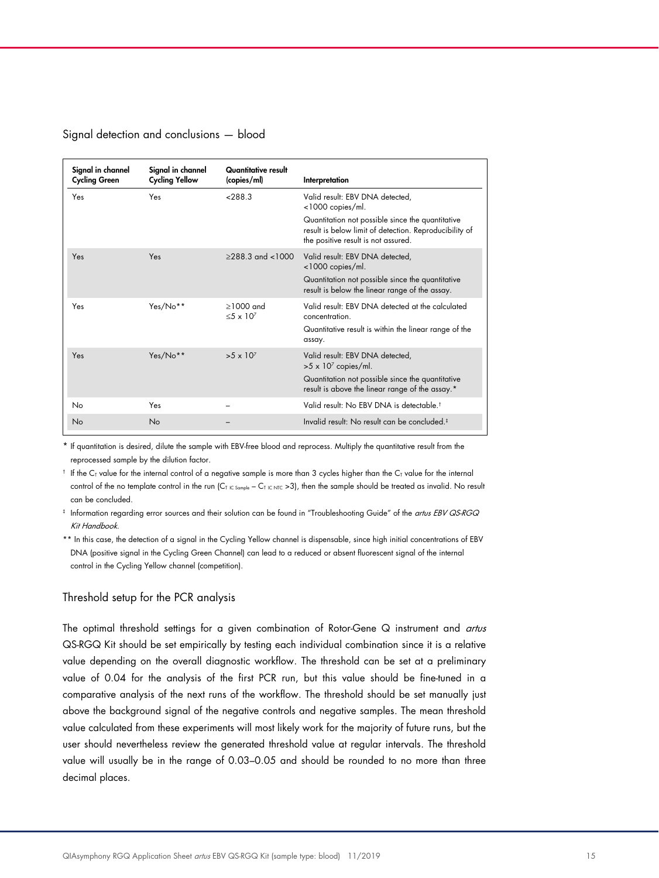#### Signal detection and conclusions — blood

| Signal in channel<br><b>Cycling Green</b> | Signal in channel<br><b>Cycling Yellow</b> | Quantitative result<br>(copies/ml) | Interpretation                                                                                                                                    |
|-------------------------------------------|--------------------------------------------|------------------------------------|---------------------------------------------------------------------------------------------------------------------------------------------------|
| Yes                                       | Yes                                        | ~288.3                             | Valid result: EBV DNA detected,<br><1000 copies/ml.                                                                                               |
|                                           |                                            |                                    | Quantitation not possible since the quantitative<br>result is below limit of detection. Reproducibility of<br>the positive result is not assured. |
| Yes                                       | Yes                                        | $>288.3$ and $<1000$               | Valid result: EBV DNA detected,<br><1000 copies/ml.                                                                                               |
|                                           |                                            |                                    | Quantitation not possible since the quantitative<br>result is below the linear range of the assay.                                                |
| Yes                                       | Yes/No**                                   | $>1000$ and<br>$5 \times 10^7$     | Valid result: FBV DNA detected at the calculated<br>concentration.                                                                                |
|                                           |                                            |                                    | Quantitative result is within the linear range of the<br>assay.                                                                                   |
| Yes                                       | Yes/No**                                   | $>5 \times 10^7$                   | Valid result: EBV DNA detected,<br>$>5 \times 10^7$ copies/ml.                                                                                    |
|                                           |                                            |                                    | Quantitation not possible since the quantitative<br>result is above the linear range of the assay.*                                               |
| No                                        | Yes                                        |                                    | Valid result: No EBV DNA is detectable. <sup>†</sup>                                                                                              |
| No                                        | No                                         |                                    | Invalid result: No result can be concluded. <sup>#</sup>                                                                                          |

\* If quantitation is desired, dilute the sample with EBV-free blood and reprocess. Multiply the quantitative result from the reprocessed sample by the dilution factor.

 $\dagger$  If the C<sub>T</sub> value for the internal control of a negative sample is more than 3 cycles higher than the C<sub>T</sub> value for the internal control of the no template control in the run (C<sub>T IC Sample</sub> – C<sub>T IC NTC</sub> >3), then the sample should be treated as invalid. No result can be concluded.

 $^*$  Information regarding error sources and their solution can be found in "Troubleshooting Guide" of the *artus EBV QS-RGQ* Kit Handbook.

\*\* In this case, the detection of a signal in the Cycling Yellow channel is dispensable, since high initial concentrations of EBV DNA (positive signal in the Cycling Green Channel) can lead to a reduced or absent fluorescent signal of the internal control in the Cycling Yellow channel (competition).

#### Threshold setup for the PCR analysis

The optimal threshold settings for a given combination of Rotor-Gene Q instrument and artus QS-RGQ Kit should be set empirically by testing each individual combination since it is a relative value depending on the overall diagnostic workflow. The threshold can be set at a preliminary value of 0.04 for the analysis of the first PCR run, but this value should be fine-tuned in a comparative analysis of the next runs of the workflow. The threshold should be set manually just above the background signal of the negative controls and negative samples. The mean threshold value calculated from these experiments will most likely work for the majority of future runs, but the user should nevertheless review the generated threshold value at regular intervals. The threshold value will usually be in the range of 0.03–0.05 and should be rounded to no more than three decimal places.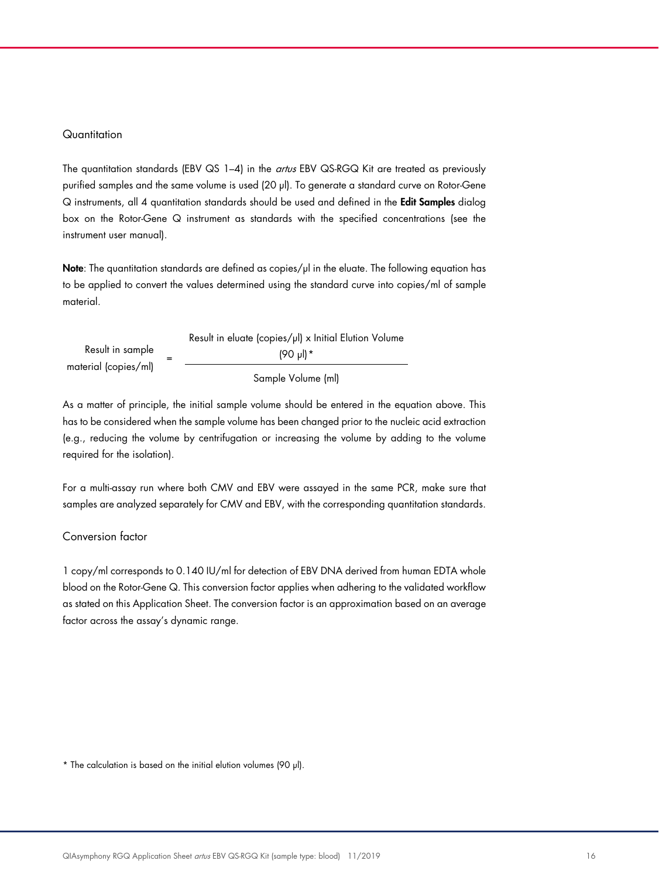#### **Quantitation**

The quantitation standards (EBV QS 1-4) in the *artus* EBV QS-RGQ Kit are treated as previously purified samples and the same volume is used (20 µl). To generate a standard curve on Rotor-Gene Q instruments, all 4 quantitation standards should be used and defined in the Edit Samples dialog box on the Rotor-Gene Q instrument as standards with the specified concentrations (see the instrument user manual).

Note: The quantitation standards are defined as copies/ $\mu$  in the eluate. The following equation has to be applied to convert the values determined using the standard curve into copies/ml of sample material.

|                      | Result in eluate (copies/µl) x Initial Elution Volume |
|----------------------|-------------------------------------------------------|
| Result in sample     | $(90 \text{ pl})$ *                                   |
| material (copies/ml) | Sample Volume (ml)                                    |

As a matter of principle, the initial sample volume should be entered in the equation above. This has to be considered when the sample volume has been changed prior to the nucleic acid extraction (e.g., reducing the volume by centrifugation or increasing the volume by adding to the volume required for the isolation).

For a multi-assay run where both CMV and EBV were assayed in the same PCR, make sure that samples are analyzed separately for CMV and EBV, with the corresponding quantitation standards.

## Conversion factor

1 copy/ml corresponds to 0.140 IU/ml for detection of EBV DNA derived from human EDTA whole blood on the Rotor-Gene Q. This conversion factor applies when adhering to the validated workflow as stated on this Application Sheet. The conversion factor is an approximation based on an average factor across the assay's dynamic range.

<span id="page-15-0"></span>\* The calculation is based on the initial elution volumes (90 µl).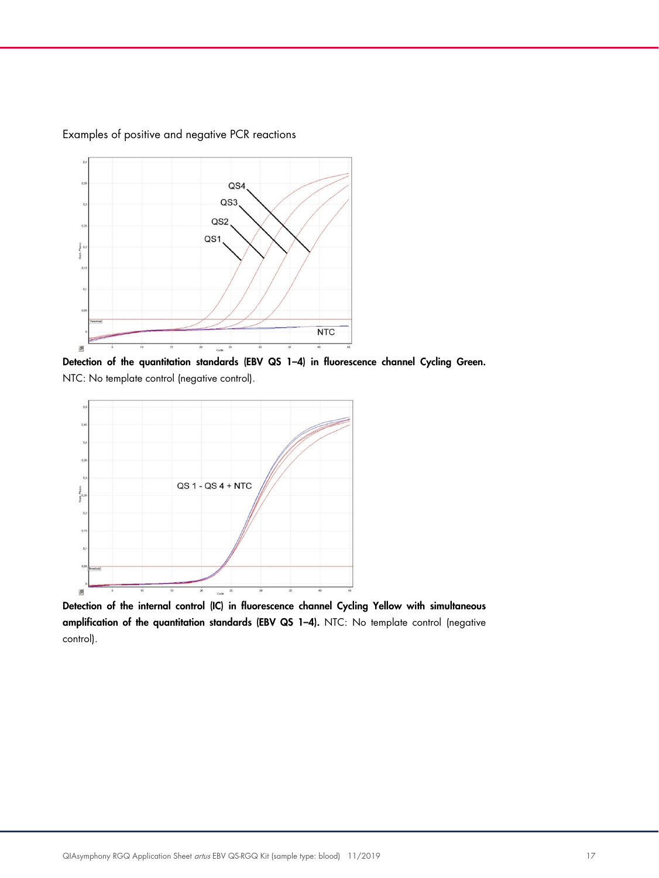

Examples of positive and negative PCR reactions

Detection of the quantitation standards (EBV QS 1-4) in fluorescence channel Cycling Green. NTC: No template control (negative control).



Detection of the internal control (IC) in fluorescence channel Cycling Yellow with simultaneous amplification of the quantitation standards (EBV QS 1–4). NTC: No template control (negative control).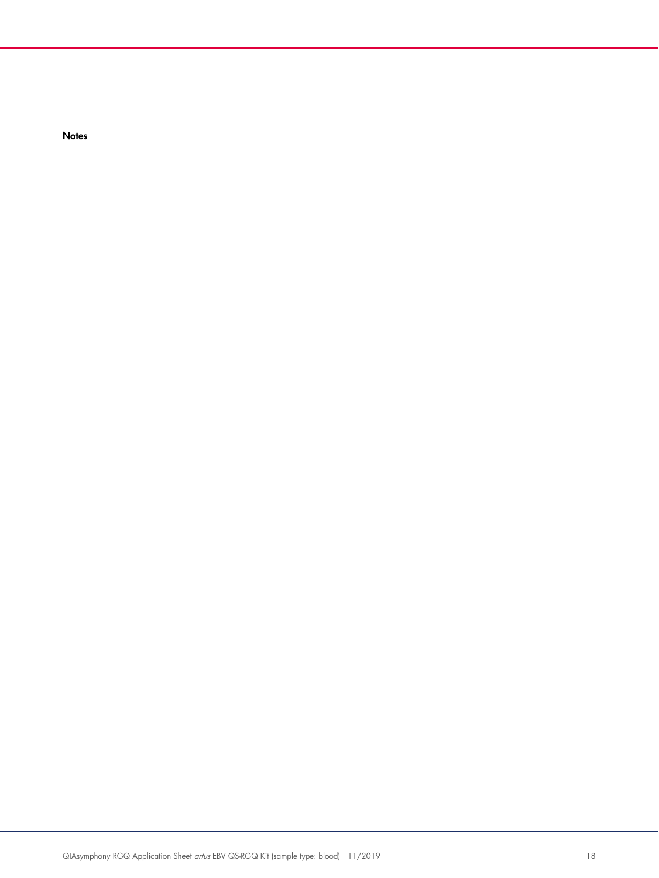**Notes**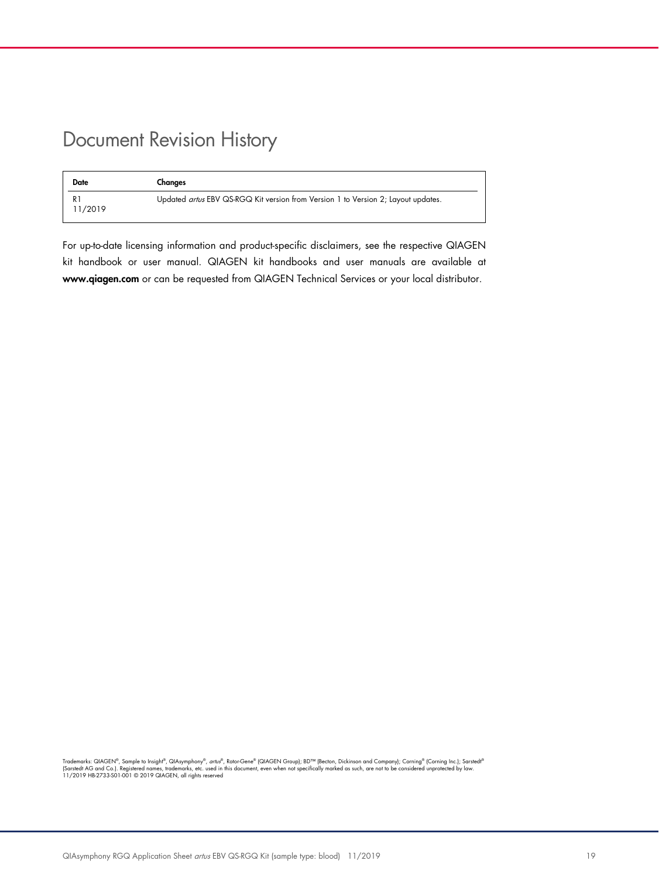# Document Revision History

| <b>Date</b>   | Changes                                                                           |
|---------------|-----------------------------------------------------------------------------------|
| R.<br>11/2019 | Updated artus EBV QS-RGQ Kit version from Version 1 to Version 2; Layout updates. |

For up-to-date licensing information and product-specific disclaimers, see the respective QIAGEN kit handbook or user manual. QIAGEN kit handbooks and user manuals are available at www.qiagen.com or can be requested from QIAGEN Technical Services or your local distributor.

Trademarks: QIAGEN®, Sample to Insighi®, QIAsymphony®, *artu®*, Rotor-Gene® (QIAGEN Group); BD™ (Becton, Dickinson and Company); Corning® (Corning Inc.); Sarstedi®<br>(Sarstedt AG and Co.). Registered names, trademarks, etc.